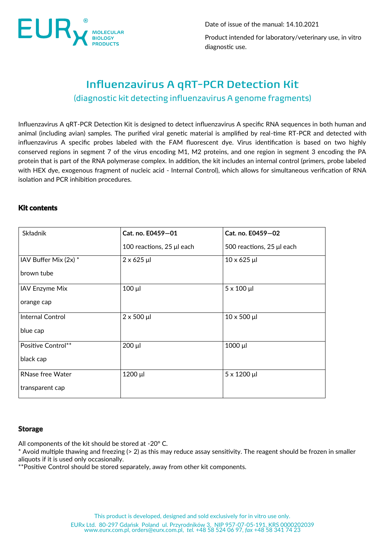

Date of issue of the manual: 14.10.2021

Product intended for laboratory/veterinary use, in vitro diagnostic use.

# **Influenzavirus A gRT-PCR Detection Kit** (diagnostic kit detecting influenzavirus A genome fragments)

Influenzavirus A qRT-PCR Detection Kit is designed to detect influenzavirus A specific RNA sequences in both human and animal (including avian) samples. The purified viral genetic material is amplified by real-time RT-PCR and detected with influenzavirus A specific probes labeled with the FAM fluorescent dye. Virus identification is based on two highly conserved regions in segment 7 of the virus encoding M1, M2 proteins, and one region in segment 3 encoding the PA protein that is part of the RNA polymerase complex. In addition, the kit includes an internal control (primers, probe labeled with HEX dye, exogenous fragment of nucleic acid - Internal Control), which allows for simultaneous verification of RNA isolation and PCR inhibition procedures.

## Kit contents

| <b>Składnik</b>         | Cat. no. E0459-01         | Cat. no. E0459-02         |  |
|-------------------------|---------------------------|---------------------------|--|
|                         | 100 reactions, 25 µl each | 500 reactions, 25 µl each |  |
| IAV Buffer Mix (2x) *   | $2 \times 625$ µl         | $10 \times 625$ µl        |  |
| brown tube              |                           |                           |  |
| <b>IAV Enzyme Mix</b>   | $100 \mu$                 | $5 \times 100$ µl         |  |
| orange cap              |                           |                           |  |
| <b>Internal Control</b> | $2 \times 500$ µl         | $10 \times 500$ µl        |  |
| blue cap                |                           |                           |  |
| Positive Control**      | 200 µl                    | 1000 µl                   |  |
| black cap               |                           |                           |  |
| <b>RNase free Water</b> | 1200 µl                   | $5 \times 1200 \mu$       |  |
| transparent cap         |                           |                           |  |

### Storage

All components of the kit should be stored at -20° C.

\* Avoid multiple thawing and freezing (> 2) as this may reduce assay sensitivity. The reagent should be frozen in smaller aliquots if it is used only occasionally.

\*\*Positive Control should be stored separately, away from other kit components.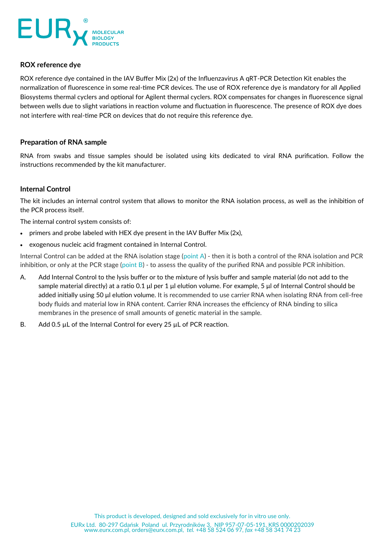

# **ROX reference dye**

ROX reference dye contained in the IAV Buffer Mix (2x) of the Influenzavirus A qRT-PCR Detection Kit enables the normalization of fluorescence in some real-time PCR devices. The use of ROX reference dye is mandatory for all Applied Biosystems thermal cyclers and optional for Agilent thermal cyclers. ROX compensates for changes in fluorescence signal between wells due to slight variations in reaction volume and fluctuation in fluorescence. The presence of ROX dye does not interfere with real-time PCR on devices that do not require this reference dye.

## **Preparation of RNA sample**

RNA from swabs and tissue samples should be isolated using kits dedicated to viral RNA purification. Follow the instructions recommended by the kit manufacturer.

# **Internal Control**

The kit includes an internal control system that allows to monitor the RNA isolation process, as well as the inhibition of the PCR process itself.

The internal control system consists of:

- primers and probe labeled with HEX dye present in the IAV Buffer Mix (2x),
- exogenous nucleic acid fragment contained in Internal Control.

Internal Control can be added at the RNA isolation stage (point A) - then it is both a control of the RNA isolation and PCR inhibition, or only at the PCR stage (point B) - to assess the quality of the purified RNA and possible PCR inhibition.

- A. Add Internal Control to the lysis buffer or to the mixture of lysis buffer and sample material (do not add to the sample material directly) at a ratio 0.1 μl per 1 μl elution volume. For example, 5 μl of Internal Control should be added initially using 50 μl elution volume. It is recommended to use carrier RNA when isolating RNA from cell-free body fluids and material low in RNA content. Carrier RNA increases the efficiency of RNA binding to silica membranes in the presence of small amounts of genetic material in the sample.
- B. Add 0.5 µL of the Internal Control for every 25 µL of PCR reaction.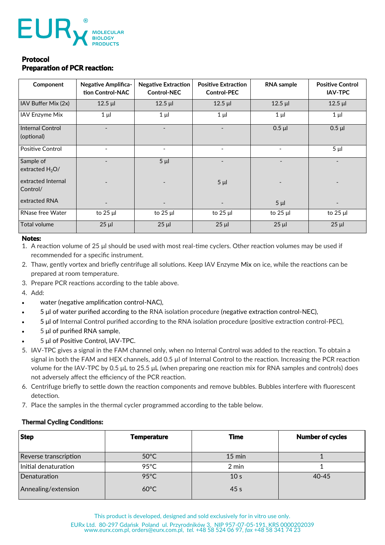

# Protocol Preparation of PCR reaction:

| Component                      | <b>Negative Amplifica-</b><br>tion Control-NAC | <b>Negative Extraction</b><br><b>Control-NEC</b> | <b>Positive Extraction</b><br><b>Control-PEC</b> | <b>RNA</b> sample        | <b>Positive Control</b><br><b>IAV-TPC</b> |
|--------------------------------|------------------------------------------------|--------------------------------------------------|--------------------------------------------------|--------------------------|-------------------------------------------|
| IAV Buffer Mix (2x)            | $12.5$ $\mu$                                   | $12.5$ $\mu$                                     | $12.5$ µl                                        | $12.5$ µl                | $12.5$ µl                                 |
| IAV Enzyme Mix                 | $1 \mu$                                        | $1 \mu$                                          | $1 \mu$                                          | $1 \mu$                  | $1 \mu$                                   |
| Internal Control<br>(optional) |                                                |                                                  |                                                  | $0.5$ $\mu$              | $0.5$ µl                                  |
| <b>Positive Control</b>        | $\overline{\phantom{0}}$                       | $\overline{a}$                                   |                                                  | $\overline{\phantom{a}}$ | $5 \mu$                                   |
| Sample of<br>extracted $H_2O/$ | $\overline{a}$                                 | $5 \mu$                                          |                                                  | $\overline{\phantom{0}}$ | $\overline{\phantom{0}}$                  |
| extracted Internal<br>Control/ |                                                |                                                  | $5 \mu$                                          |                          |                                           |
| extracted RNA                  |                                                |                                                  |                                                  | 5 <sub>µ</sub>           |                                           |
| <b>RNase free Water</b>        | to $25 \mu$                                    | to 25 µl                                         | to 25 µl                                         | to 25 µl                 | to $25 \mu$                               |
| Total volume                   | $25 \mu$                                       | $25 \mu$                                         | $25 \mu$                                         | $25 \mu$                 | $25 \mu$                                  |

### Notes:

- 1. A reaction volume of 25 μl should be used with most real-time cyclers. Other reaction volumes may be used if recommended for a specific instrument.
- 2. Thaw, gently vortex and briefly centrifuge all solutions. Keep IAV Enzyme Mix on ice, while the reactions can be prepared at room temperature.
- 3. Prepare PCR reactions according to the table above.
- 4. Add:
- water (negative amplification control-NAC),
- 5 μl of water purified according to the RNA isolation procedure (negative extraction control-NEC),
- 5 μl of Internal Control purified according to the RNA isolation procedure (positive extraction control-PEC),
- 5 μl of purified RNA sample,
- 5 μl of Positive Control, IAV-TPC.
- 5. IAV-TPC gives a signal in the FAM channel only, when no Internal Control was added to the reaction. To obtain a signal in both the FAM and HEX channels, add 0.5 µl of Internal Control to the reaction. Increasing the PCR reaction volume for the IAV-TPC by 0.5 μL to 25.5 μL (when preparing one reaction mix for RNA samples and controls) does not adversely affect the efficiency of the PCR reaction.
- 6. Centrifuge briefly to settle down the reaction components and remove bubbles. Bubbles interfere with fluorescent detection.
- 7. Place the samples in the thermal cycler programmed according to the table below.

## Thermal Cycling Conditions:

| <b>Step</b>           | <b>Temperature</b> | <b>Time</b>      | <b>Number of cycles</b> |
|-----------------------|--------------------|------------------|-------------------------|
| Reverse transcription | $50^{\circ}$ C     | $15 \text{ min}$ |                         |
| Initial denaturation  | 95 $\degree$ C     | 2 min            |                         |
| Denaturation          | $95^{\circ}$ C     | 10 <sub>s</sub>  | $40 - 45$               |
| Annealing/extension   | $60^{\circ}$ C     | 45 <sub>s</sub>  |                         |